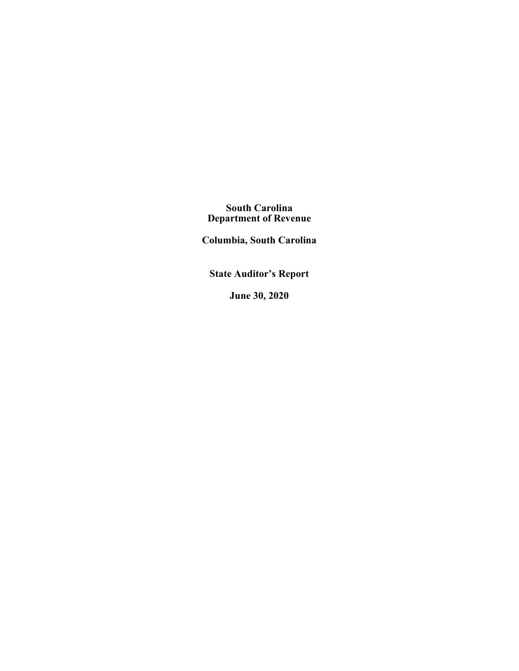**South Carolina Department of Revenue**

**Columbia, South Carolina** 

**State Auditor's Report**

**June 30, 2020**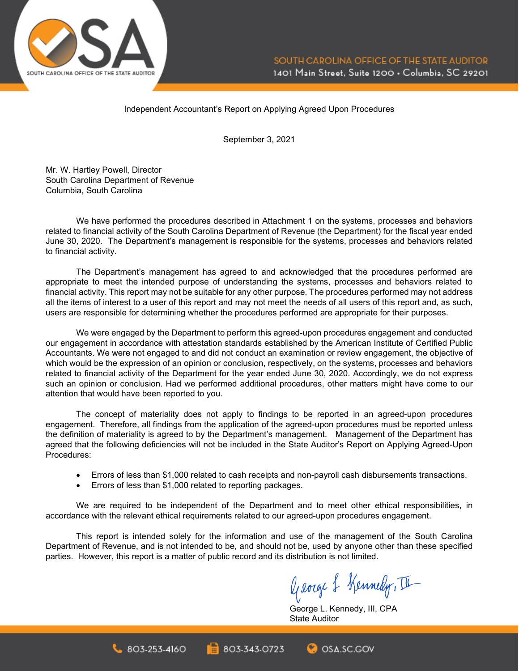

### Independent Accountant's Report on Applying Agreed Upon Procedures

September 3, 2021

Mr. W. Hartley Powell, Director South Carolina Department of Revenue Columbia, South Carolina

We have performed the procedures described in Attachment 1 on the systems, processes and behaviors related to financial activity of the South Carolina Department of Revenue (the Department) for the fiscal year ended June 30, 2020. The Department's management is responsible for the systems, processes and behaviors related to financial activity.

The Department's management has agreed to and acknowledged that the procedures performed are appropriate to meet the intended purpose of understanding the systems, processes and behaviors related to financial activity. This report may not be suitable for any other purpose. The procedures performed may not address all the items of interest to a user of this report and may not meet the needs of all users of this report and, as such, users are responsible for determining whether the procedures performed are appropriate for their purposes.

We were engaged by the Department to perform this agreed-upon procedures engagement and conducted our engagement in accordance with attestation standards established by the American Institute of Certified Public Accountants. We were not engaged to and did not conduct an examination or review engagement, the objective of which would be the expression of an opinion or conclusion, respectively, on the systems, processes and behaviors related to financial activity of the Department for the year ended June 30, 2020. Accordingly, we do not express such an opinion or conclusion. Had we performed additional procedures, other matters might have come to our attention that would have been reported to you.

The concept of materiality does not apply to findings to be reported in an agreed-upon procedures engagement. Therefore, all findings from the application of the agreed-upon procedures must be reported unless the definition of materiality is agreed to by the Department's management. Management of the Department has agreed that the following deficiencies will not be included in the State Auditor's Report on Applying Agreed-Upon Procedures:

- Errors of less than \$1,000 related to cash receipts and non-payroll cash disbursements transactions.
- Errors of less than \$1,000 related to reporting packages.

 $803.253.4160$ 

We are required to be independent of the Department and to meet other ethical responsibilities, in accordance with the relevant ethical requirements related to our agreed-upon procedures engagement.

This report is intended solely for the information and use of the management of the South Carolina Department of Revenue, and is not intended to be, and should not be, used by anyone other than these specified parties. However, this report is a matter of public record and its distribution is not limited.

803-343-0723

George & Kennedy, III

George L. Kennedy, III, CPA State Auditor

OSA.SC.GOV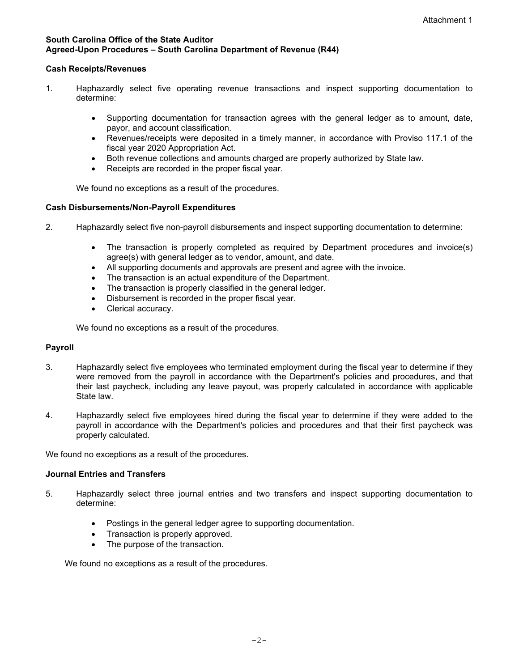### **South Carolina Office of the State Auditor Agreed-Upon Procedures – South Carolina Department of Revenue (R44)**

## **Cash Receipts/Revenues**

- 1. Haphazardly select five operating revenue transactions and inspect supporting documentation to determine:
	- Supporting documentation for transaction agrees with the general ledger as to amount, date, payor, and account classification.
	- Revenues/receipts were deposited in a timely manner, in accordance with Proviso 117.1 of the fiscal year 2020 Appropriation Act.
	- Both revenue collections and amounts charged are properly authorized by State law.
	- Receipts are recorded in the proper fiscal year.

We found no exceptions as a result of the procedures.

## **Cash Disbursements/Non-Payroll Expenditures**

- 2. Haphazardly select five non-payroll disbursements and inspect supporting documentation to determine:
	- The transaction is properly completed as required by Department procedures and invoice(s) agree(s) with general ledger as to vendor, amount, and date.
	- All supporting documents and approvals are present and agree with the invoice.
	- The transaction is an actual expenditure of the Department.
	- The transaction is properly classified in the general ledger.
	- Disbursement is recorded in the proper fiscal year.
	- Clerical accuracy.

We found no exceptions as a result of the procedures.

# **Payroll**

- 3. Haphazardly select five employees who terminated employment during the fiscal year to determine if they were removed from the payroll in accordance with the Department's policies and procedures, and that their last paycheck, including any leave payout, was properly calculated in accordance with applicable State law.
- 4. Haphazardly select five employees hired during the fiscal year to determine if they were added to the payroll in accordance with the Department's policies and procedures and that their first paycheck was properly calculated.

We found no exceptions as a result of the procedures.

### **Journal Entries and Transfers**

- 5. Haphazardly select three journal entries and two transfers and inspect supporting documentation to determine:
	- Postings in the general ledger agree to supporting documentation.
	- Transaction is properly approved.
	- The purpose of the transaction.

We found no exceptions as a result of the procedures.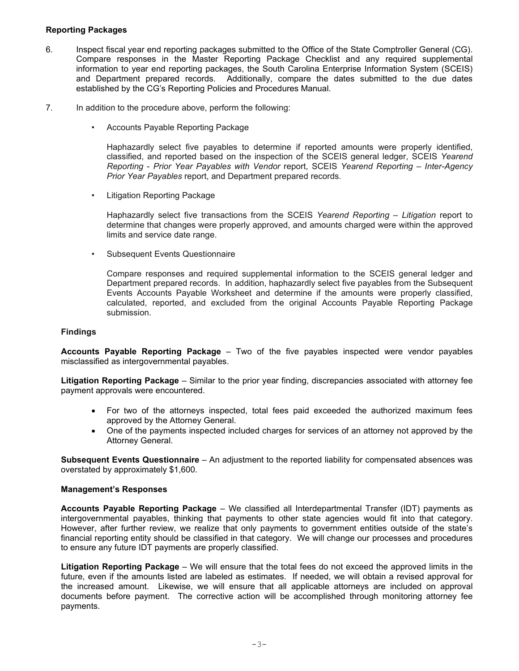## **Reporting Packages**

- 6. Inspect fiscal year end reporting packages submitted to the Office of the State Comptroller General (CG). Compare responses in the Master Reporting Package Checklist and any required supplemental information to year end reporting packages, the South Carolina Enterprise Information System (SCEIS) and Department prepared records. Additionally, compare the dates submitted to the due dates established by the CG's Reporting Policies and Procedures Manual.
- 7. In addition to the procedure above, perform the following:
	- Accounts Payable Reporting Package

Haphazardly select five payables to determine if reported amounts were properly identified, classified, and reported based on the inspection of the SCEIS general ledger, SCEIS *Yearend Reporting* - *Prior Year Payables with Vendor* report, SCEIS *Yearend Reporting – Inter-Agency Prior Year Payables* report, and Department prepared records.

• Litigation Reporting Package

Haphazardly select five transactions from the SCEIS *Yearend Reporting – Litigation* report to determine that changes were properly approved, and amounts charged were within the approved limits and service date range.

• Subsequent Events Questionnaire

Compare responses and required supplemental information to the SCEIS general ledger and Department prepared records. In addition, haphazardly select five payables from the Subsequent Events Accounts Payable Worksheet and determine if the amounts were properly classified, calculated, reported, and excluded from the original Accounts Payable Reporting Package submission.

## **Findings**

**Accounts Payable Reporting Package** – Two of the five payables inspected were vendor payables misclassified as intergovernmental payables.

**Litigation Reporting Package** – Similar to the prior year finding, discrepancies associated with attorney fee payment approvals were encountered.

- For two of the attorneys inspected, total fees paid exceeded the authorized maximum fees approved by the Attorney General.
- One of the payments inspected included charges for services of an attorney not approved by the Attorney General.

**Subsequent Events Questionnaire** – An adjustment to the reported liability for compensated absences was overstated by approximately \$1,600.

### **Management's Responses**

**Accounts Payable Reporting Package** – We classified all Interdepartmental Transfer (IDT) payments as intergovernmental payables, thinking that payments to other state agencies would fit into that category. However, after further review, we realize that only payments to government entities outside of the state's financial reporting entity should be classified in that category. We will change our processes and procedures to ensure any future IDT payments are properly classified.

**Litigation Reporting Package** – We will ensure that the total fees do not exceed the approved limits in the future, even if the amounts listed are labeled as estimates. If needed, we will obtain a revised approval for the increased amount. Likewise, we will ensure that all applicable attorneys are included on approval documents before payment. The corrective action will be accomplished through monitoring attorney fee payments.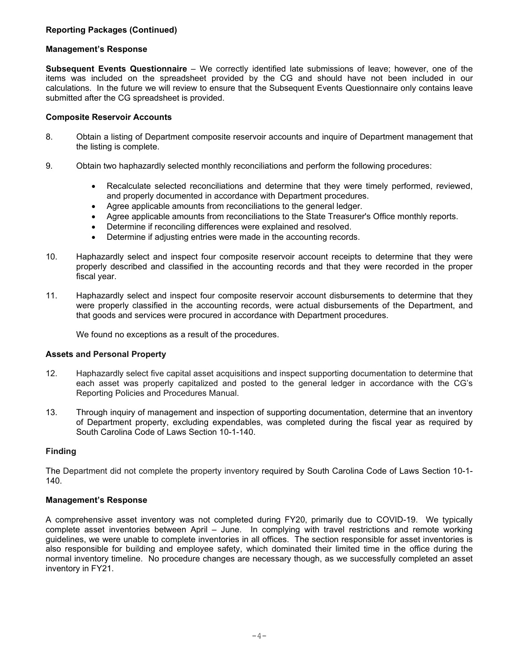# **Reporting Packages (Continued)**

### **Management's Response**

**Subsequent Events Questionnaire** – We correctly identified late submissions of leave; however, one of the items was included on the spreadsheet provided by the CG and should have not been included in our calculations. In the future we will review to ensure that the Subsequent Events Questionnaire only contains leave submitted after the CG spreadsheet is provided.

## **Composite Reservoir Accounts**

- 8. Obtain a listing of Department composite reservoir accounts and inquire of Department management that the listing is complete.
- 9. Obtain two haphazardly selected monthly reconciliations and perform the following procedures:
	- Recalculate selected reconciliations and determine that they were timely performed, reviewed, and properly documented in accordance with Department procedures.
	- Agree applicable amounts from reconciliations to the general ledger.
	- Agree applicable amounts from reconciliations to the State Treasurer's Office monthly reports.
	- Determine if reconciling differences were explained and resolved.
	- Determine if adjusting entries were made in the accounting records.
- 10. Haphazardly select and inspect four composite reservoir account receipts to determine that they were properly described and classified in the accounting records and that they were recorded in the proper fiscal year.
- 11. Haphazardly select and inspect four composite reservoir account disbursements to determine that they were properly classified in the accounting records, were actual disbursements of the Department, and that goods and services were procured in accordance with Department procedures.

We found no exceptions as a result of the procedures.

### **Assets and Personal Property**

- 12. Haphazardly select five capital asset acquisitions and inspect supporting documentation to determine that each asset was properly capitalized and posted to the general ledger in accordance with the CG's Reporting Policies and Procedures Manual.
- 13. Through inquiry of management and inspection of supporting documentation, determine that an inventory of Department property, excluding expendables, was completed during the fiscal year as required by South Carolina Code of Laws Section 10-1-140.

# **Finding**

The Department did not complete the property inventory required by South Carolina Code of Laws Section 10-1- 140.

### **Management's Response**

A comprehensive asset inventory was not completed during FY20, primarily due to COVID-19. We typically complete asset inventories between April – June. In complying with travel restrictions and remote working guidelines, we were unable to complete inventories in all offices. The section responsible for asset inventories is also responsible for building and employee safety, which dominated their limited time in the office during the normal inventory timeline. No procedure changes are necessary though, as we successfully completed an asset inventory in FY21.